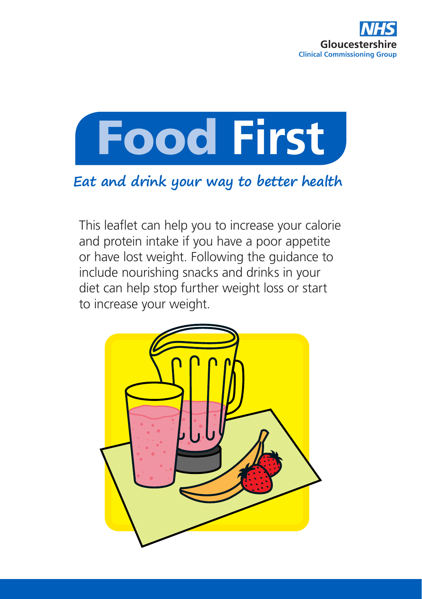



### **Eat and drink your way to better health**

This leaflet can help you to increase your calorie and protein intake if you have a poor appetite or have lost weight. Following the guidance to include nourishing snacks and drinks in your diet can help stop further weight loss or start to increase your weight.

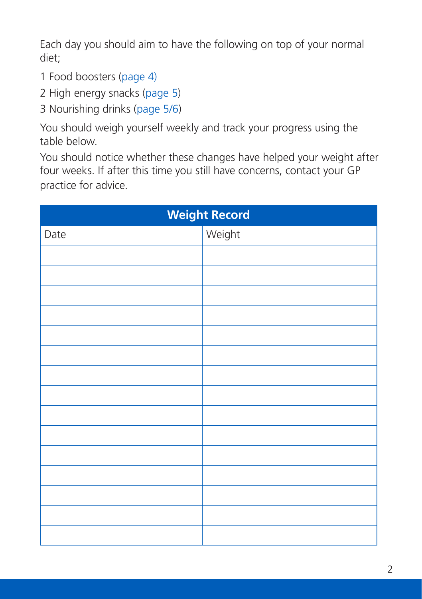Each day you should aim to have the following on top of your normal diet;

- 1 Food boosters (page 4)
- 2 High energy snacks (page 5)
- 3 Nourishing drinks (page 5/6)

You should weigh yourself weekly and track your progress using the table below.

You should notice whether these changes have helped your weight after four weeks. If after this time you still have concerns, contact your GP practice for advice.

| <b>Weight Record</b> |        |
|----------------------|--------|
| Date                 | Weight |
|                      |        |
|                      |        |
|                      |        |
|                      |        |
|                      |        |
|                      |        |
|                      |        |
|                      |        |
|                      |        |
|                      |        |
|                      |        |
|                      |        |
|                      |        |
|                      |        |
|                      |        |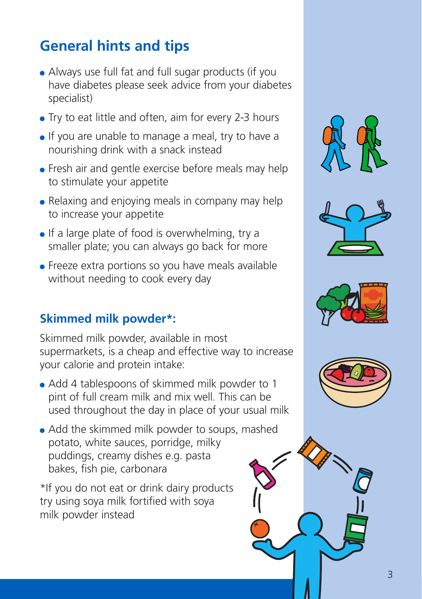# **General hints and tips**

- Always use full fat and full sugar products (if you have diabetes please seek advice from your diabetes specialist)
- Try to eat little and often, aim for every 2-3 hours
- If you are unable to manage a meal, try to have a nourishing drink with a snack instead
- **•** Fresh air and gentle exercise before meals may help to stimulate your appetite
- Relaxing and enjoying meals in company may help to increase your appetite
- $\bullet$  If a large plate of food is overwhelming, try a smaller plate; you can always go back for more
- **•** Freeze extra portions so you have meals available without needing to cook every day

#### **Skimmed milk powder\*:**

Skimmed milk powder, available in most supermarkets, is a cheap and effective way to increase your calorie and protein intake:

- Add 4 tablespoons of skimmed milk powder to 1 pint of full cream milk and mix well. This can be used throughout the day in place of your usual milk
- Add the skimmed milk powder to soups, mashed potato, white sauces, porridge, milky puddings, creamy dishes e.g. pasta bakes, fish pie, carbonara

\*If you do not eat or drink dairy products try using soya milk fortified with soya milk powder instead







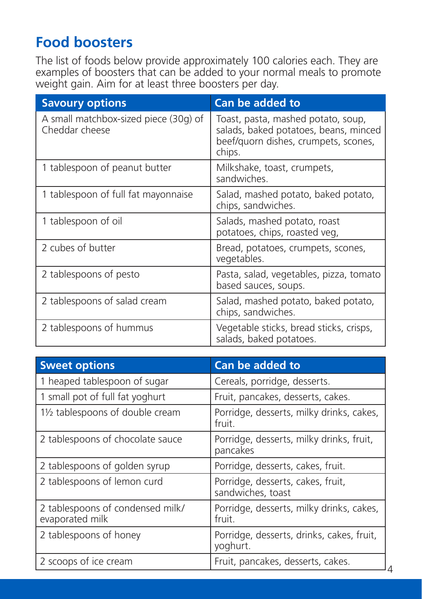## **Food boosters**

The list of foods below provide approximately 100 calories each. They are examples of boosters that can be added to your normal meals to promote weight gain. Aim for at least three boosters per day.

| <b>Savoury options</b>                                  | Can be added to                                                                                                               |
|---------------------------------------------------------|-------------------------------------------------------------------------------------------------------------------------------|
| A small matchbox-sized piece (30g) of<br>Cheddar cheese | Toast, pasta, mashed potato, soup,<br>salads, baked potatoes, beans, minced<br>beef/quorn dishes, crumpets, scones,<br>chips. |
| 1 tablespoon of peanut butter                           | Milkshake, toast, crumpets,<br>sandwiches.                                                                                    |
| 1 tablespoon of full fat mayonnaise                     | Salad, mashed potato, baked potato,<br>chips, sandwiches.                                                                     |
| 1 tablespoon of oil                                     | Salads, mashed potato, roast<br>potatoes, chips, roasted veg,                                                                 |
| 2 cubes of butter                                       | Bread, potatoes, crumpets, scones,<br>vegetables.                                                                             |
| 2 tablespoons of pesto                                  | Pasta, salad, vegetables, pizza, tomato<br>based sauces, soups.                                                               |
| 2 tablespoons of salad cream                            | Salad, mashed potato, baked potato,<br>chips, sandwiches.                                                                     |
| 2 tablespoons of hummus                                 | Vegetable sticks, bread sticks, crisps,<br>salads, baked potatoes.                                                            |

| <b>Sweet options</b>                                | Can be added to                                        |
|-----------------------------------------------------|--------------------------------------------------------|
| 1 heaped tablespoon of sugar                        | Cereals, porridge, desserts.                           |
| 1 small pot of full fat yoghurt                     | Fruit, pancakes, desserts, cakes.                      |
| 11/2 tablespoons of double cream                    | Porridge, desserts, milky drinks, cakes,<br>fruit.     |
| 2 tablespoons of chocolate sauce                    | Porridge, desserts, milky drinks, fruit,<br>pancakes   |
| 2 tablespoons of golden syrup                       | Porridge, desserts, cakes, fruit.                      |
| 2 tablespoons of lemon curd                         | Porridge, desserts, cakes, fruit,<br>sandwiches, toast |
| 2 tablespoons of condensed milk/<br>evaporated milk | Porridge, desserts, milky drinks, cakes,<br>fruit.     |
| 2 tablespoons of honey                              | Porridge, desserts, drinks, cakes, fruit,<br>yoghurt.  |
| 2 scoops of ice cream                               | Fruit, pancakes, desserts, cakes.                      |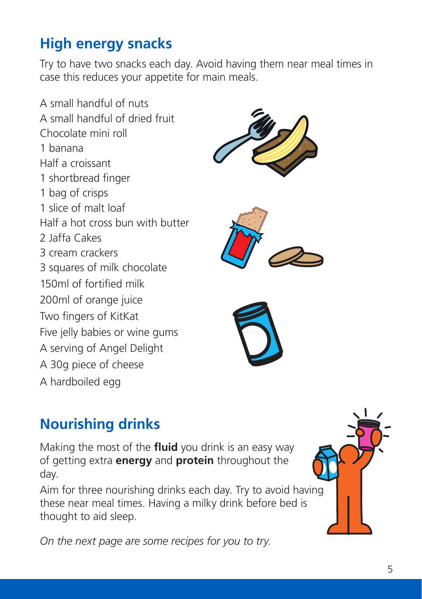# **High energy snacks**

Try to have two snacks each day. Avoid having them near meal times in case this reduces your appetite for main meals.

A small handful of nuts A small handful of dried fruit Chocolate mini roll 1 banana Half a croissant 1 shortbread finger 1 bag of crisps 1 slice of malt loaf Half a hot cross bun with butter 2 Jaffa Cakes 3 cream crackers 3 squares of milk chocolate 150ml of fortified milk 200ml of orange juice Two fingers of KitKat Five jelly babies or wine gums A serving of Angel Delight A 30g piece of cheese A hardboiled egg







# **Nourishing drinks**

Making the most of the **fluid** you drink is an easy way of getting extra **energy** and **protein** throughout the day.

Aim for three nourishing drinks each day. Try to avoid having these near meal times. Having a milky drink before bed is thought to aid sleep.

*On the next page are some recipes for you to try.*

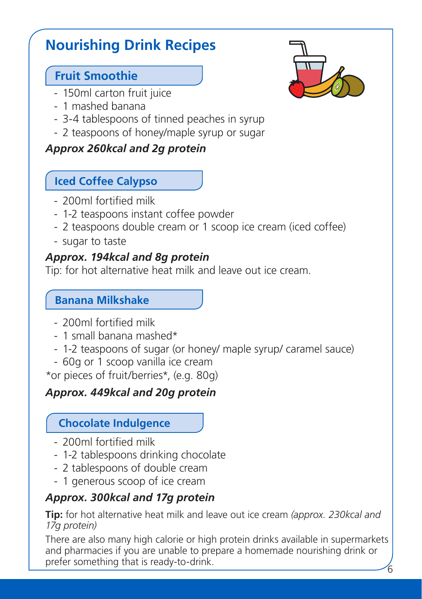# **Nourishing Drink Recipes**

#### **Fruit Smoothie**

- 150ml carton fruit juice
- 1 mashed banana
- 3-4 tablespoons of tinned peaches in syrup
- 2 teaspoons of honey/maple syrup or sugar

#### *Approx 260kcal and 2g protein*

#### **Iced Coffee Calypso**

- 200ml fortified milk
- 1-2 teaspoons instant coffee powder
- 2 teaspoons double cream or 1 scoop ice cream (iced coffee)
- sugar to taste

#### *Approx. 194kcal and 8g protein*

Tip: for hot alternative heat milk and leave out ice cream.

#### **Banana Milkshake**

- 200ml fortified milk
- 1 small banana mashed\*
- 1-2 teaspoons of sugar (or honey/ maple syrup/ caramel sauce)
- 60g or 1 scoop vanilla ice cream

\*or pieces of fruit/berries\*, (e.g. 80g)

#### *Approx. 449kcal and 20g protein*

#### **Chocolate Indulgence**

- 200ml fortified milk
- 1-2 tablespoons drinking chocolate
- 2 tablespoons of double cream
- 1 generous scoop of ice cream

#### *Approx. 300kcal and 17g protein*

**Tip:** for hot alternative heat milk and leave out ice cream *(approx. 230kcal and 17g protein)*

6 There are also many high calorie or high protein drinks available in supermarkets and pharmacies if you are unable to prepare a homemade nourishing drink or prefer something that is ready-to-drink.

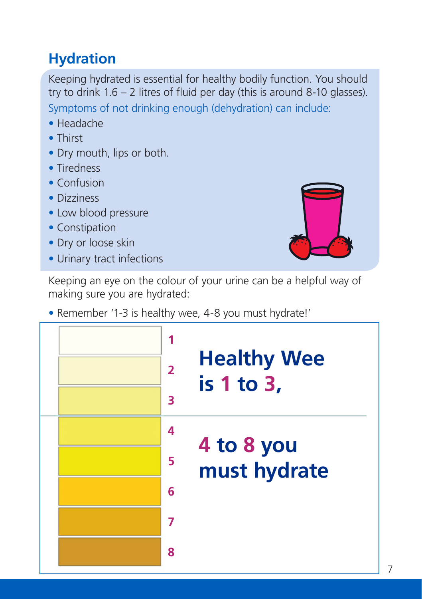# **Hydration**

Keeping hydrated is essential for healthy bodily function. You should try to drink 1.6 – 2 litres of fluid per day (this is around 8-10 glasses). Symptoms of not drinking enough (dehydration) can include:

- Headache
- Thirst
- Dry mouth, lips or both.
- Tiredness
- Confusion
- Dizziness
- Low blood pressure
- Constipation
- Dry or loose skin
- Urinary tract infections

Keeping an eye on the colour of your urine can be a helpful way of making sure you are hydrated:

• Remember '1-3 is healthy wee, 4-8 you must hydrate!'